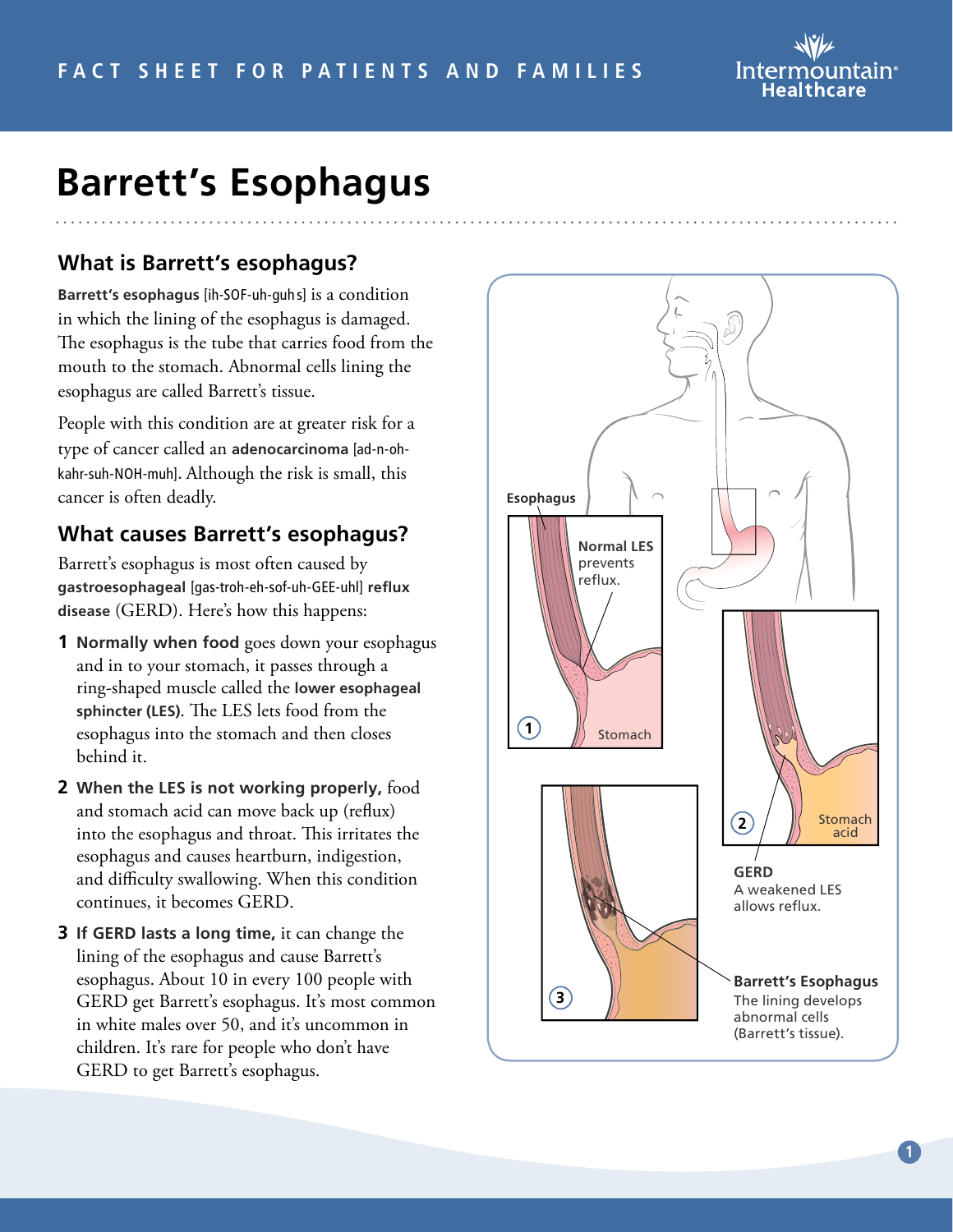

# **Barrett's Esophagus**

#### **What is Barrett's esophagus?**

**Barrett's esophagus** [ih-SOF-uh-guh s] is a condition in which the lining of the esophagus is damaged. The esophagus is the tube that carries food from the mouth to the stomach. Abnormal cells lining the esophagus are called Barrett's tissue.

People with this condition are at greater risk for a type of cancer called an **adenocarcinoma** [ad-n-ohkahr-suh-NOH-muh]**.** Although the risk is small, this cancer is often deadly.

#### **What causes Barrett's esophagus?**

Barrett's esophagus is most often caused by **gastroesophageal** [gas-troh-eh-sof-uh-GEE-uhl] **reflux disease** (GERD). Here's how this happens:

- **1 Normally when food** goes down your esophagus and in to your stomach, it passes through a ring-shaped muscle called the **lower esophageal sphincter (LES)**. The LES lets food from the esophagus into the stomach and then closes behind it.
- **2 When the LES is not working properly,** food and stomach acid can move back up (reflux) into the esophagus and throat. This irritates the esophagus and causes heartburn, indigestion, and difficulty swallowing. When this condition continues, it becomes GERD.
- **3 If GERD lasts a long time,** it can change the lining of the esophagus and cause Barrett's esophagus. About 10 in every 100 people with GERD get Barrett's esophagus. It's most common in white males over 50, and it's uncommon in children. It's rare for people who don't have GERD to get Barrett's esophagus.